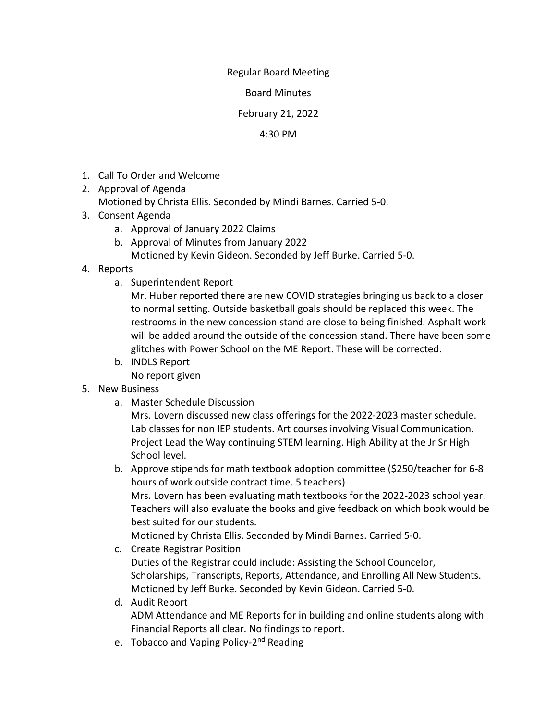## Regular Board Meeting

Board Minutes

February 21, 2022

## 4:30 PM

- 1. Call To Order and Welcome
- 2. Approval of Agenda Motioned by Christa Ellis. Seconded by Mindi Barnes. Carried 5-0.
- 3. Consent Agenda
	- a. Approval of January 2022 Claims
	- b. Approval of Minutes from January 2022
		- Motioned by Kevin Gideon. Seconded by Jeff Burke. Carried 5-0.
- 4. Reports
	- a. Superintendent Report

Mr. Huber reported there are new COVID strategies bringing us back to a closer to normal setting. Outside basketball goals should be replaced this week. The restrooms in the new concession stand are close to being finished. Asphalt work will be added around the outside of the concession stand. There have been some glitches with Power School on the ME Report. These will be corrected.

- b. INDLS Report No report given
- 5. New Business
	- a. Master Schedule Discussion

Mrs. Lovern discussed new class offerings for the 2022-2023 master schedule. Lab classes for non IEP students. Art courses involving Visual Communication. Project Lead the Way continuing STEM learning. High Ability at the Jr Sr High School level.

b. Approve stipends for math textbook adoption committee (\$250/teacher for 6-8 hours of work outside contract time. 5 teachers) Mrs. Lovern has been evaluating math textbooks for the 2022-2023 school year. Teachers will also evaluate the books and give feedback on which book would be best suited for our students. Motioned by Christa Ellis. Seconded by Mindi Barnes. Carried 5-0.

- c. Create Registrar Position Duties of the Registrar could include: Assisting the School Councelor, Scholarships, Transcripts, Reports, Attendance, and Enrolling All New Students. Motioned by Jeff Burke. Seconded by Kevin Gideon. Carried 5-0.
- d. Audit Report ADM Attendance and ME Reports for in building and online students along with Financial Reports all clear. No findings to report.
- e. Tobacco and Vaping Policy-2<sup>nd</sup> Reading